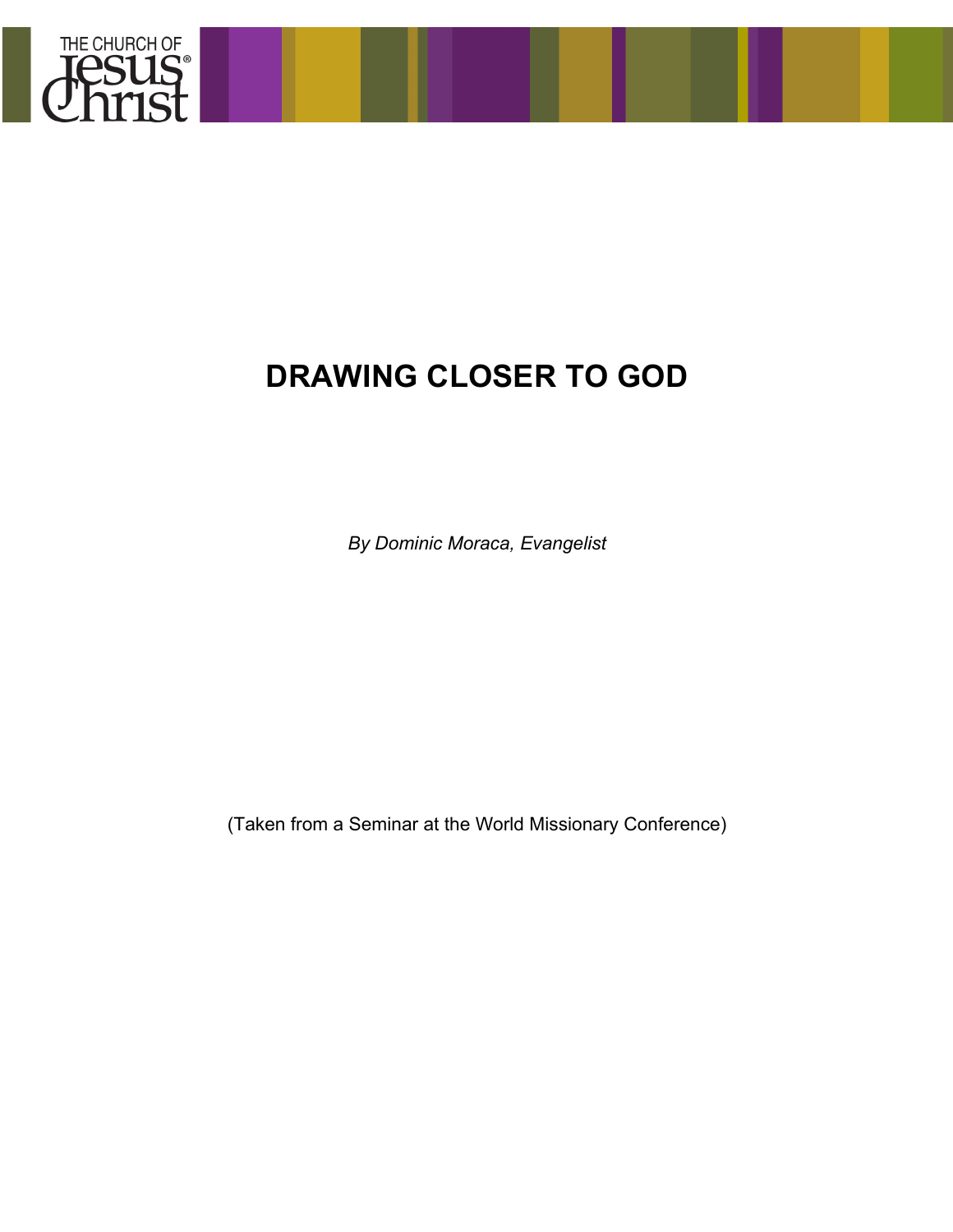

# **DRAWING CLOSER TO GOD**

*By Dominic Moraca, Evangelist*

(Taken from a Seminar at the World Missionary Conference)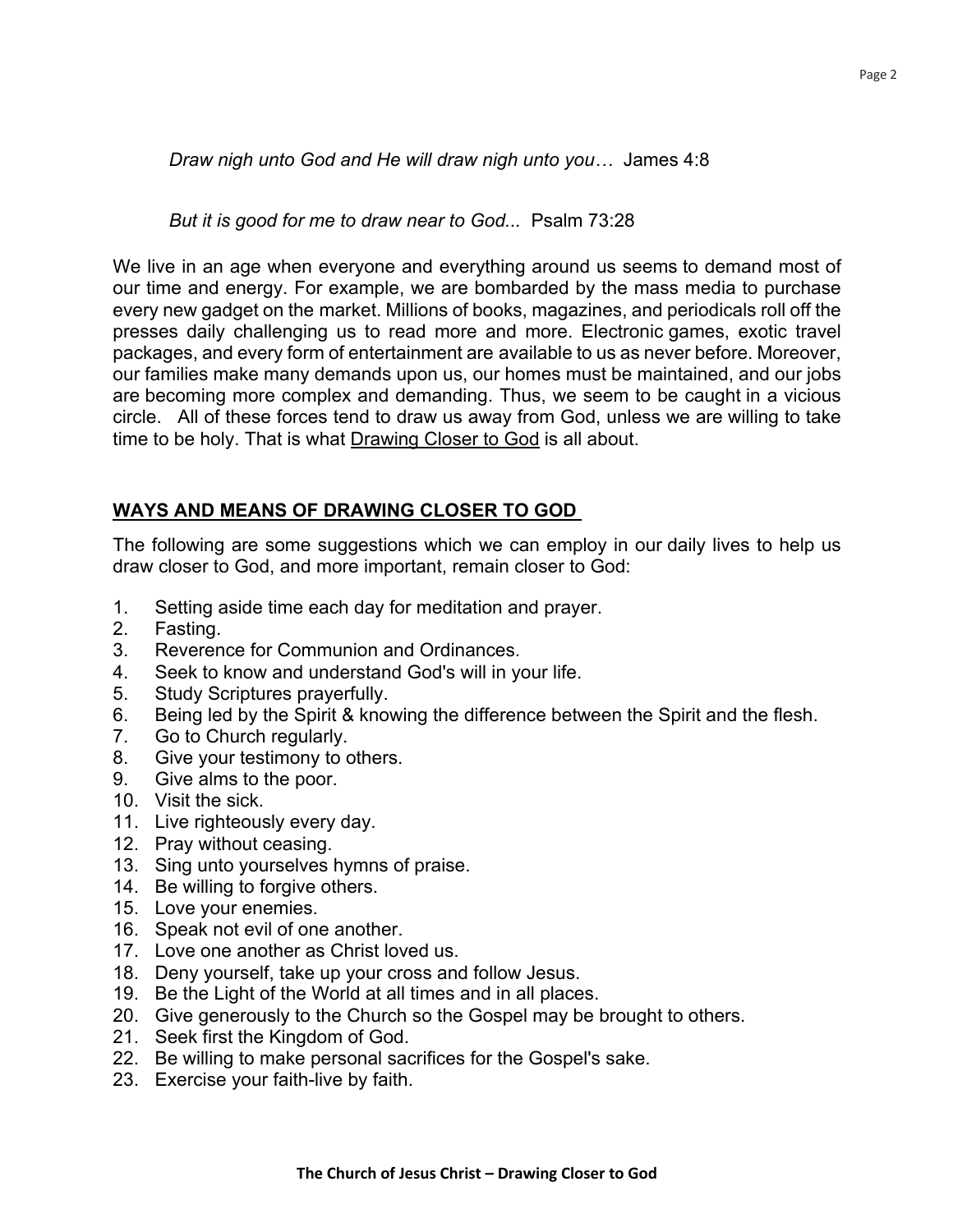*Draw nigh unto God and He will draw nigh unto you…* James 4:8

*But it is good for me to draw near to God...* Psalm 73:28

We live in an age when everyone and everything around us seems to demand most of our time and energy. For example, we are bombarded by the mass media to purchase every new gadget on the market. Millions of books, magazines, and periodicals roll off the presses daily challenging us to read more and more. Electronic games, exotic travel packages, and every form of entertainment are available to us as never before. Moreover, our families make many demands upon us, our homes must be maintained, and our jobs are becoming more complex and demanding. Thus, we seem to be caught in a vicious circle. All of these forces tend to draw us away from God, unless we are willing to take time to be holy. That is what Drawing Closer to God is all about.

## **WAYS AND MEANS OF DRAWING CLOSER TO GOD**

The following are some suggestions which we can employ in our daily lives to help us draw closer to God, and more important, remain closer to God:

- 1. Setting aside time each day for meditation and prayer.
- 2. Fasting.
- 3. Reverence for Communion and Ordinances.
- 4. Seek to know and understand God's will in your life.
- 5. Study Scriptures prayerfully.
- 6. Being led by the Spirit & knowing the difference between the Spirit and the flesh.
- 7. Go to Church regularly.
- 8. Give your testimony to others.
- 9. Give alms to the poor.
- 10. Visit the sick.
- 11. Live righteously every day.
- 12. Pray without ceasing.
- 13. Sing unto yourselves hymns of praise.
- 14. Be willing to forgive others.
- 15. Love your enemies.
- 16. Speak not evil of one another.
- 17. Love one another as Christ loved us.
- 18. Deny yourself, take up your cross and follow Jesus.
- 19. Be the Light of the World at all times and in all places.
- 20. Give generously to the Church so the Gospel may be brought to others.
- 21. Seek first the Kingdom of God.
- 22. Be willing to make personal sacrifices for the Gospel's sake.
- 23. Exercise your faith-live by faith.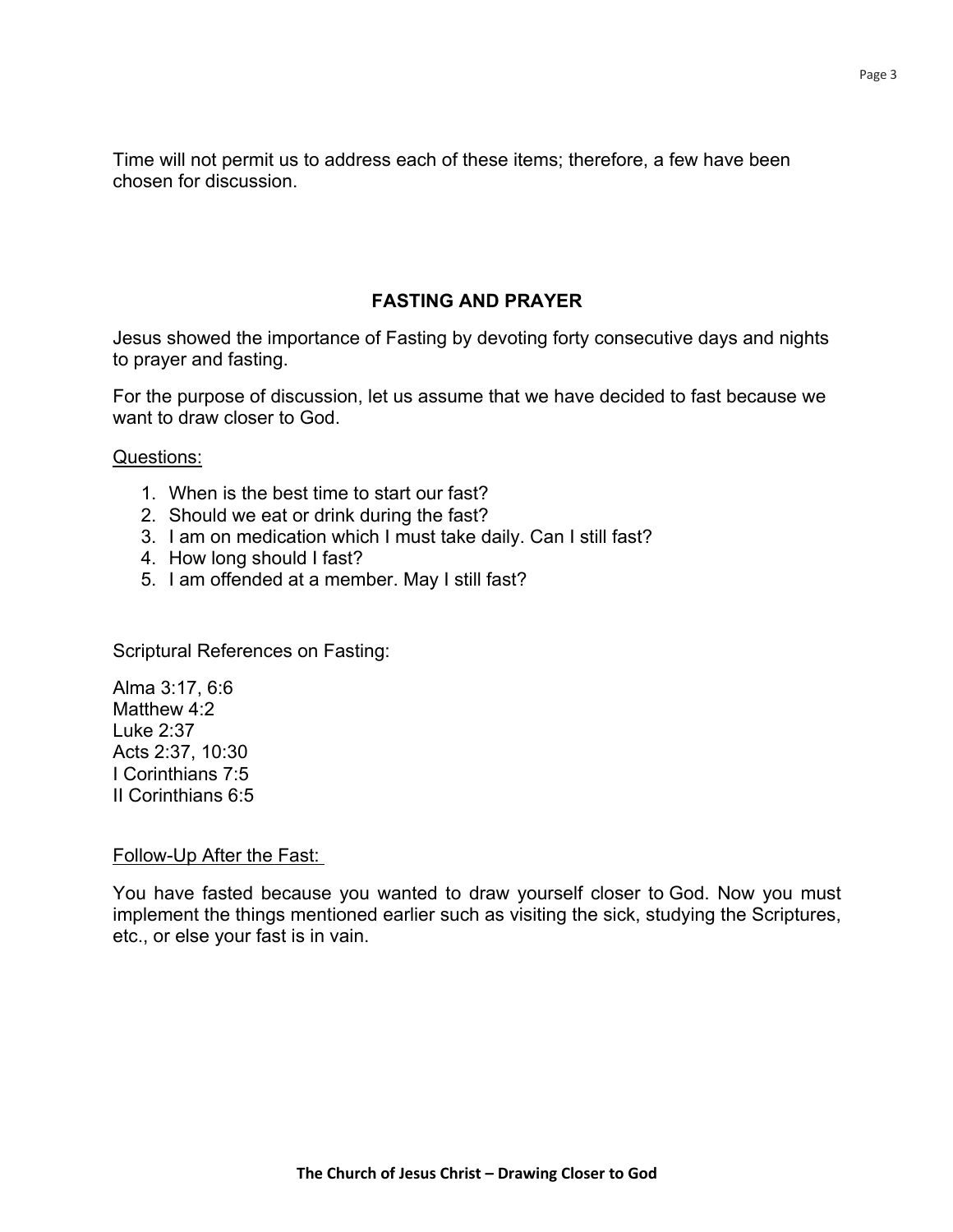Time will not permit us to address each of these items; therefore, a few have been chosen for discussion.

## **FASTING AND PRAYER**

Jesus showed the importance of Fasting by devoting forty consecutive days and nights to prayer and fasting.

For the purpose of discussion, let us assume that we have decided to fast because we want to draw closer to God.

Questions:

- 1. When is the best time to start our fast?
- 2. Should we eat or drink during the fast?
- 3. I am on medication which I must take daily. Can I still fast?
- 4. How long should I fast?
- 5. I am offended at a member. May I still fast?

Scriptural References on Fasting:

Alma 3:17, 6:6 Matthew 4:2 Luke 2:37 Acts 2:37, 10:30 I Corinthians 7:5 II Corinthians 6:5

#### Follow-Up After the Fast:

You have fasted because you wanted to draw yourself closer to God. Now you must implement the things mentioned earlier such as visiting the sick, studying the Scriptures, etc., or else your fast is in vain.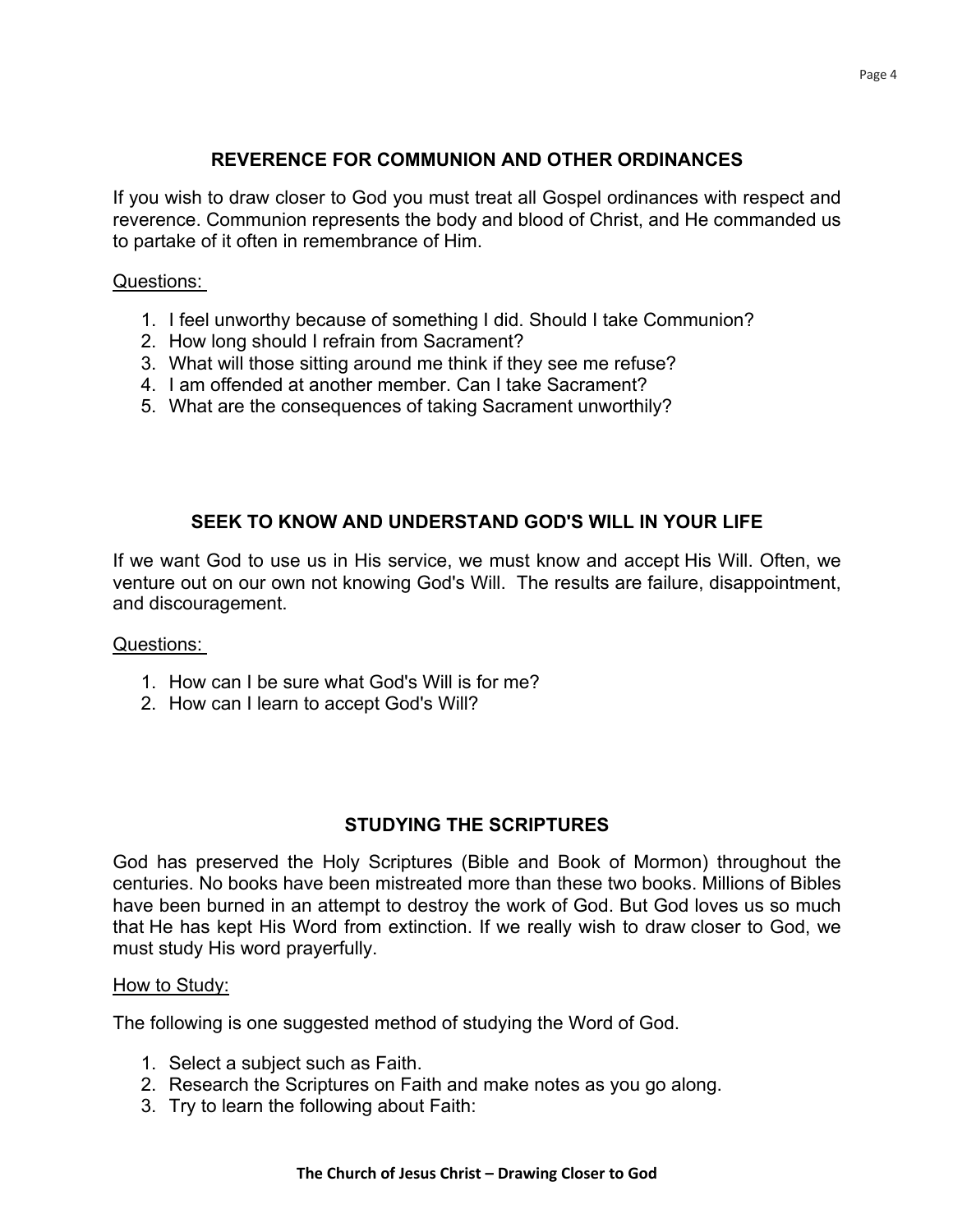## **REVERENCE FOR COMMUNION AND OTHER ORDINANCES**

If you wish to draw closer to God you must treat all Gospel ordinances with respect and reverence. Communion represents the body and blood of Christ, and He commanded us to partake of it often in remembrance of Him.

#### Questions:

- 1. I feel unworthy because of something I did. Should I take Communion?
- 2. How long should I refrain from Sacrament?
- 3. What will those sitting around me think if they see me refuse?
- 4. I am offended at another member. Can I take Sacrament?
- 5. What are the consequences of taking Sacrament unworthily?

## **SEEK TO KNOW AND UNDERSTAND GOD'S WILL IN YOUR LIFE**

If we want God to use us in His service, we must know and accept His Will. Often, we venture out on our own not knowing God's Will. The results are failure, disappointment, and discouragement.

#### Questions:

- 1. How can I be sure what God's Will is for me?
- 2. How can I learn to accept God's Will?

## **STUDYING THE SCRIPTURES**

God has preserved the Holy Scriptures (Bible and Book of Mormon) throughout the centuries. No books have been mistreated more than these two books. Millions of Bibles have been burned in an attempt to destroy the work of God. But God loves us so much that He has kept His Word from extinction. If we really wish to draw closer to God, we must study His word prayerfully.

#### How to Study:

The following is one suggested method of studying the Word of God.

- 1. Select a subject such as Faith.
- 2. Research the Scriptures on Faith and make notes as you go along.
- 3. Try to learn the following about Faith: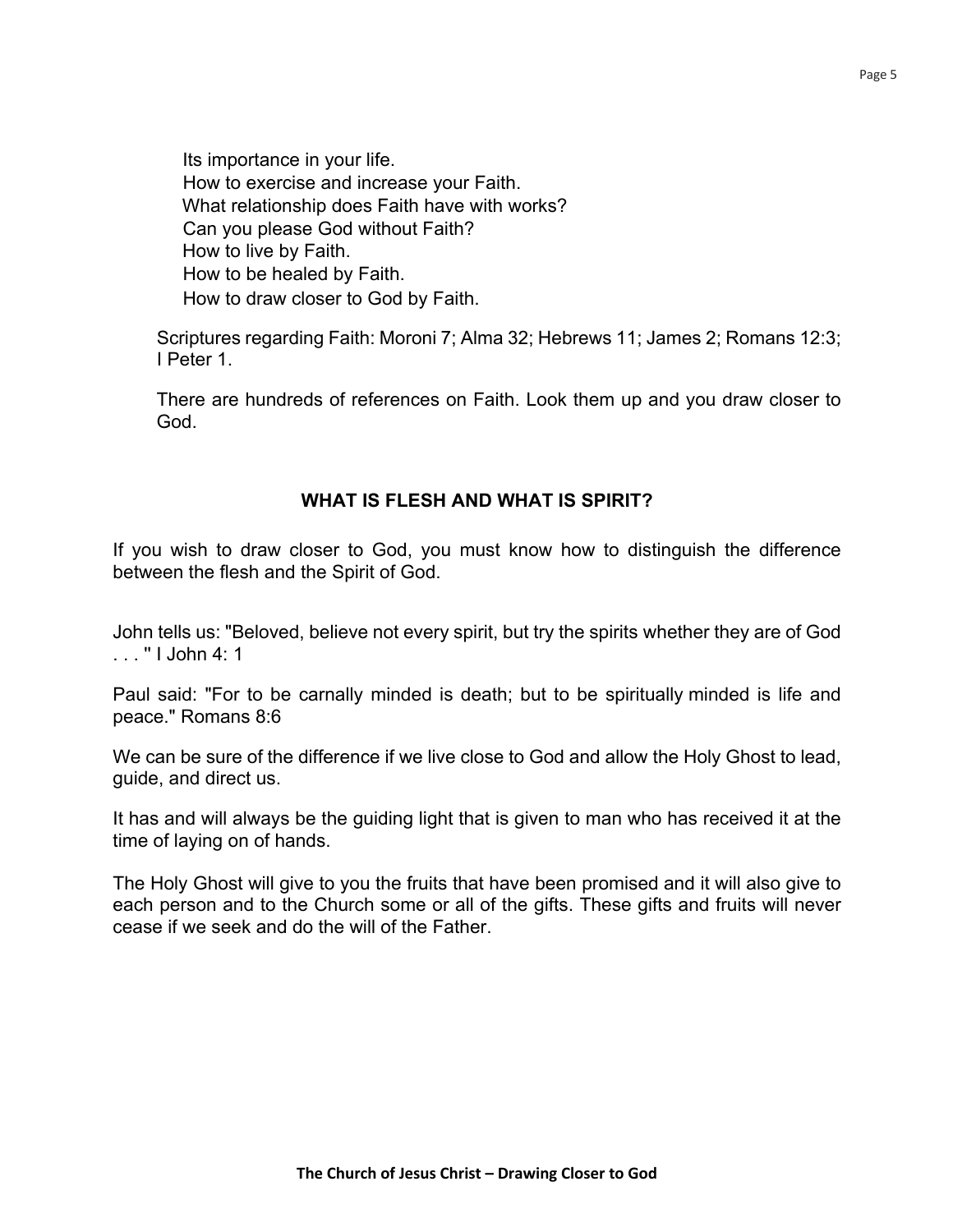Its importance in your life. How to exercise and increase your Faith. What relationship does Faith have with works? Can you please God without Faith? How to live by Faith. How to be healed by Faith. How to draw closer to God by Faith.

Scriptures regarding Faith: Moroni 7; Alma 32; Hebrews 11; James 2; Romans 12:3; I Peter 1.

There are hundreds of references on Faith. Look them up and you draw closer to God.

## **WHAT IS FLESH AND WHAT IS SPIRIT?**

If you wish to draw closer to God, you must know how to distinguish the difference between the flesh and the Spirit of God.

John tells us: "Beloved, believe not every spirit, but try the spirits whether they are of God . . . '' I John 4: 1

Paul said: "For to be carnally minded is death; but to be spiritually minded is life and peace." Romans 8:6

We can be sure of the difference if we live close to God and allow the Holy Ghost to lead, guide, and direct us.

It has and will always be the guiding light that is given to man who has received it at the time of laying on of hands.

The Holy Ghost will give to you the fruits that have been promised and it will also give to each person and to the Church some or all of the gifts. These gifts and fruits will never cease if we seek and do the will of the Father.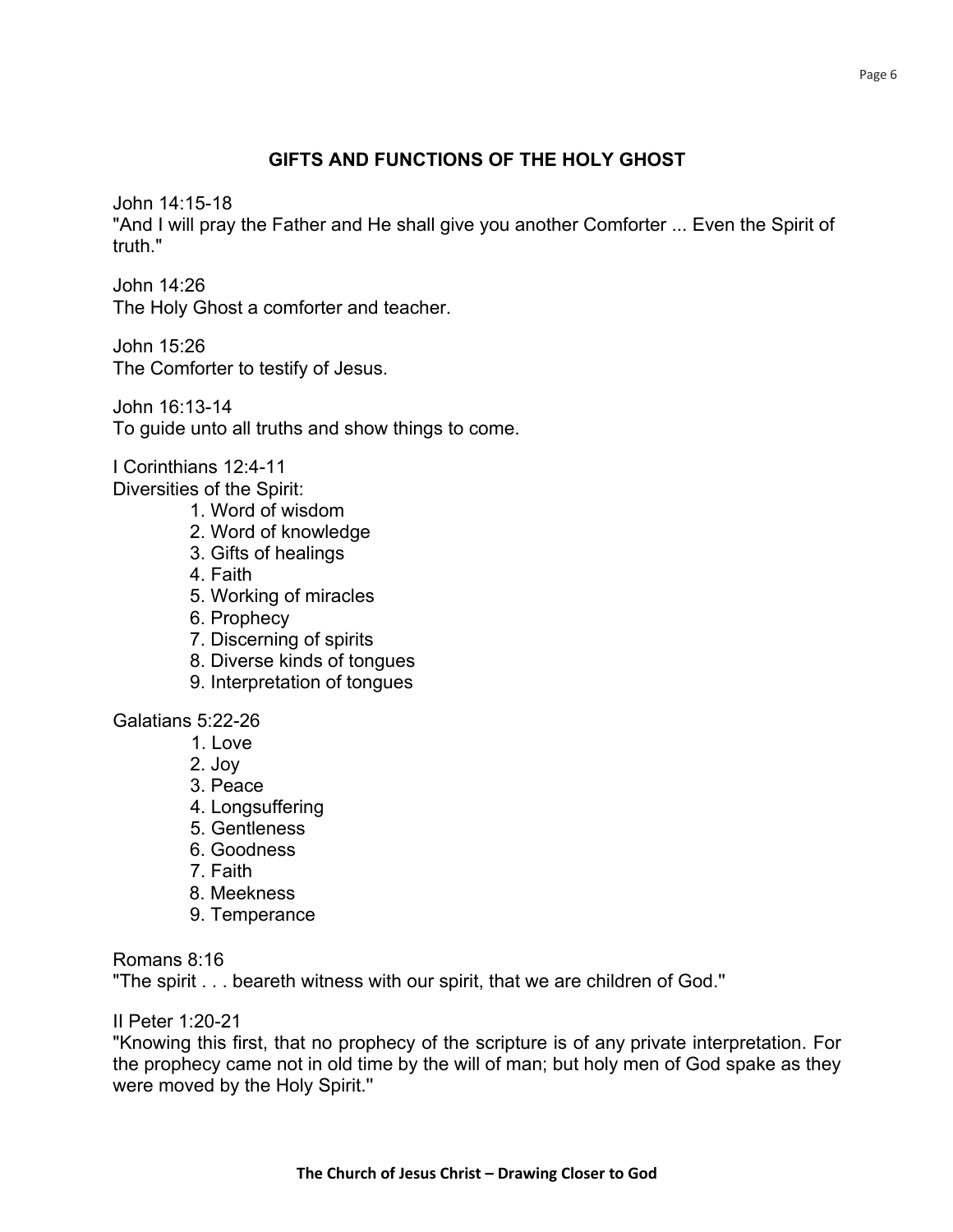## **GIFTS AND FUNCTIONS OF THE HOLY GHOST**

John 14:15-18

"And I will pray the Father and He shall give you another Comforter ... Even the Spirit of truth."

John 14:26 The Holy Ghost a comforter and teacher.

John 15:26 The Comforter to testify of Jesus.

John 16:13-14 To guide unto all truths and show things to come.

I Corinthians 12:4-11 Diversities of the Spirit:

- 1. Word of wisdom
- 2. Word of knowledge
- 3. Gifts of healings
- 4. Faith
- 5. Working of miracles
- 6. Prophecy
- 7. Discerning of spirits
- 8. Diverse kinds of tongues
- 9. Interpretation of tongues

Galatians 5:22-26

- 1. Love
- 2. Joy
- 3. Peace
- 4. Longsuffering
- 5. Gentleness
- 6. Goodness
- 7. Faith
- 8. Meekness
- 9. Temperance

Romans 8:16

"The spirit . . . beareth witness with our spirit, that we are children of God.''

II Peter 1:20-21

"Knowing this first, that no prophecy of the scripture is of any private interpretation. For the prophecy came not in old time by the will of man; but holy men of God spake as they were moved by the Holy Spirit.''